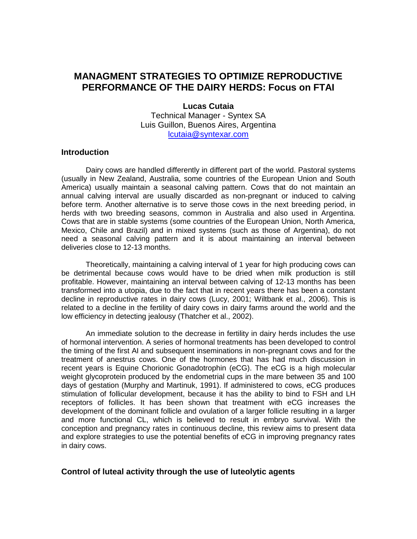# **MANAGMENT STRATEGIES TO OPTIMIZE REPRODUCTIVE PERFORMANCE OF THE DAIRY HERDS: Focus on FTAI**

#### **Lucas Cutaia**

Technical Manager - Syntex SA Luis Guillon, Buenos Aires, Argentina [lcutaia@syntexar.com](mailto:lcutaia@syntexar.com)

#### **Introduction**

Dairy cows are handled differently in different part of the world. Pastoral systems (usually in New Zealand, Australia, some countries of the European Union and South America) usually maintain a seasonal calving pattern. Cows that do not maintain an annual calving interval are usually discarded as non-pregnant or induced to calving before term. Another alternative is to serve those cows in the next breeding period, in herds with two breeding seasons, common in Australia and also used in Argentina. Cows that are in stable systems (some countries of the European Union, North America, Mexico, Chile and Brazil) and in mixed systems (such as those of Argentina), do not need a seasonal calving pattern and it is about maintaining an interval between deliveries close to 12-13 months.

Theoretically, maintaining a calving interval of 1 year for high producing cows can be detrimental because cows would have to be dried when milk production is still profitable. However, maintaining an interval between calving of 12-13 months has been transformed into a utopia, due to the fact that in recent years there has been a constant decline in reproductive rates in dairy cows (Lucy, 2001; Wiltbank et al., 2006). This is related to a decline in the fertility of dairy cows in dairy farms around the world and the low efficiency in detecting jealousy (Thatcher et al., 2002).

An immediate solution to the decrease in fertility in dairy herds includes the use of hormonal intervention. A series of hormonal treatments has been developed to control the timing of the first AI and subsequent inseminations in non-pregnant cows and for the treatment of anestrus cows. One of the hormones that has had much discussion in recent years is Equine Chorionic Gonadotrophin (eCG). The eCG is a high molecular weight glycoprotein produced by the endometrial cups in the mare between 35 and 100 days of gestation (Murphy and Martinuk, 1991). If administered to cows, eCG produces stimulation of follicular development, because it has the ability to bind to FSH and LH receptors of follicles. It has been shown that treatment with eCG increases the development of the dominant follicle and ovulation of a larger follicle resulting in a larger and more functional CL, which is believed to result in embryo survival. With the conception and pregnancy rates in continuous decline, this review aims to present data and explore strategies to use the potential benefits of eCG in improving pregnancy rates in dairy cows.

## **Control of luteal activity through the use of luteolytic agents**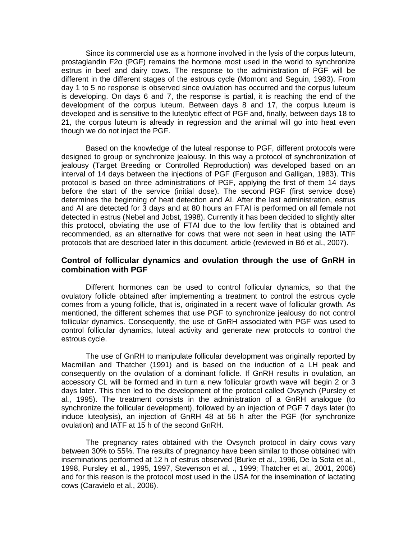Since its commercial use as a hormone involved in the lysis of the corpus luteum, prostaglandin F2α (PGF) remains the hormone most used in the world to synchronize estrus in beef and dairy cows. The response to the administration of PGF will be different in the different stages of the estrous cycle (Momont and Seguin, 1983). From day 1 to 5 no response is observed since ovulation has occurred and the corpus luteum is developing. On days 6 and 7, the response is partial, it is reaching the end of the development of the corpus luteum. Between days 8 and 17, the corpus luteum is developed and is sensitive to the luteolytic effect of PGF and, finally, between days 18 to 21, the corpus luteum is already in regression and the animal will go into heat even though we do not inject the PGF.

Based on the knowledge of the luteal response to PGF, different protocols were designed to group or synchronize jealousy. In this way a protocol of synchronization of jealousy (Target Breeding or Controlled Reproduction) was developed based on an interval of 14 days between the injections of PGF (Ferguson and Galligan, 1983). This protocol is based on three administrations of PGF, applying the first of them 14 days before the start of the service (initial dose). The second PGF (first service dose) determines the beginning of heat detection and AI. After the last administration, estrus and AI are detected for 3 days and at 80 hours an FTAI is performed on all female not detected in estrus (Nebel and Jobst, 1998). Currently it has been decided to slightly alter this protocol, obviating the use of FTAI due to the low fertility that is obtained and recommended, as an alternative for cows that were not seen in heat using the IATF protocols that are described later in this document. article (reviewed in Bó et al., 2007).

#### **Control of follicular dynamics and ovulation through the use of GnRH in combination with PGF**

Different hormones can be used to control follicular dynamics, so that the ovulatory follicle obtained after implementing a treatment to control the estrous cycle comes from a young follicle, that is, originated in a recent wave of follicular growth. As mentioned, the different schemes that use PGF to synchronize jealousy do not control follicular dynamics. Consequently, the use of GnRH associated with PGF was used to control follicular dynamics, luteal activity and generate new protocols to control the estrous cycle.

The use of GnRH to manipulate follicular development was originally reported by Macmillan and Thatcher (1991) and is based on the induction of a LH peak and consequently on the ovulation of a dominant follicle. If GnRH results in ovulation, an accessory CL will be formed and in turn a new follicular growth wave will begin 2 or 3 days later. This then led to the development of the protocol called Ovsynch (Pursley et al., 1995). The treatment consists in the administration of a GnRH analogue (to synchronize the follicular development), followed by an injection of PGF 7 days later (to induce luteolysis), an injection of GnRH 48 at 56 h after the PGF (for synchronize ovulation) and IATF at 15 h of the second GnRH.

The pregnancy rates obtained with the Ovsynch protocol in dairy cows vary between 30% to 55%. The results of pregnancy have been similar to those obtained with inseminations performed at 12 h of estrus observed (Burke et al., 1996, De la Sota et al., 1998, Pursley et al., 1995, 1997, Stevenson et al. ., 1999; Thatcher et al., 2001, 2006) and for this reason is the protocol most used in the USA for the insemination of lactating cows (Caravielo et al., 2006).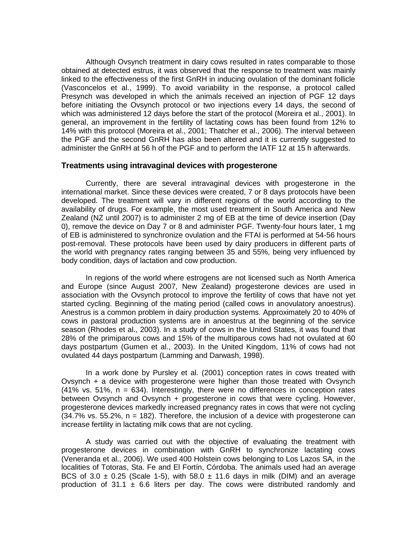Although Ovsynch treatment in dairy cows resulted in rates comparable to those obtained at detected estrus, it was observed that the response to treatment was mainly linked to the effectiveness of the first GnRH in inducing ovulation of the dominant follicle (Vasconcelos et al., 1999). To avoid variability in the response, a protocol called Presynch was developed in which the animals received an injection of PGF 12 days before initiating the Ovsynch protocol or two injections every 14 days, the second of which was administered 12 days before the start of the protocol (Moreira et al., 2001). In general, an improvement in the fertility of lactating cows has been found from 12% to 14% with this protocol (Moreira et al., 2001; Thatcher et al., 2006). The interval between the PGF and the second GnRH has also been altered and it is currently suggested to administer the GnRH at 56 h of the PGF and to perform the IATF 12 at 15 h afterwards.

#### **Treatments using intravaginal devices with progesterone**

Currently, there are several intravaginal devices with progesterone in the international market. Since these devices were created, 7 or 8 days protocols have been developed. The treatment will vary in different regions of the world according to the availability of drugs. For example, the most used treatment in South America and New Zealand (NZ until 2007) is to administer 2 mg of EB at the time of device insertion (Day 0), remove the device on Day 7 or 8 and administer PGF. Twenty-four hours later, 1 mg of EB is administered to synchronize ovulation and the FTAI is performed at 54-56 hours post-removal. These protocols have been used by dairy producers in different parts of the world with pregnancy rates ranging between 35 and 55%, being very influenced by body condition, days of lactation and cow production.

In regions of the world where estrogens are not licensed such as North America and Europe (since August 2007, New Zealand) progesterone devices are used in association with the Ovsynch protocol to improve the fertility of cows that have not yet started cycling. Beginning of the mating period (called cows in anovulatory anoestrus). Anestrus is a common problem in dairy production systems. Approximately 20 to 40% of cows in pastoral production systems are in anoestrus at the beginning of the service season (Rhodes et al., 2003). In a study of cows in the United States, it was found that 28% of the primiparous cows and 15% of the multiparous cows had not ovulated at 60 days postpartum (Gumen et al., 2003). In the United Kingdom, 11% of cows had not ovulated 44 days postpartum (Lamming and Darwash, 1998).

In a work done by Pursley et al. (2001) conception rates in cows treated with Ovsynch + a device with progesterone were higher than those treated with Ovsynch  $(41\%$  vs. 51%,  $n = 634$ ). Interestingly, there were no differences in conception rates between Ovsynch and Ovsynch + progesterone in cows that were cycling. However, progesterone devices markedly increased pregnancy rates in cows that were not cycling  $(34.7\%$  vs. 55.2%,  $n = 182$ ). Therefore, the inclusion of a device with progesterone can increase fertility in lactating milk cows that are not cycling.

A study was carried out with the objective of evaluating the treatment with progesterone devices in combination with GnRH to synchronize lactating cows (Veneranda et al., 2006). We used 400 Holstein cows belonging to Los Lazos SA, in the localities of Totoras, Sta. Fe and El Fortín, Córdoba. The animals used had an average BCS of 3.0  $\pm$  0.25 (Scale 1-5), with 58.0  $\pm$  11.6 days in milk (DIM) and an average production of 31.1  $\pm$  6.6 liters per day. The cows were distributed randomly and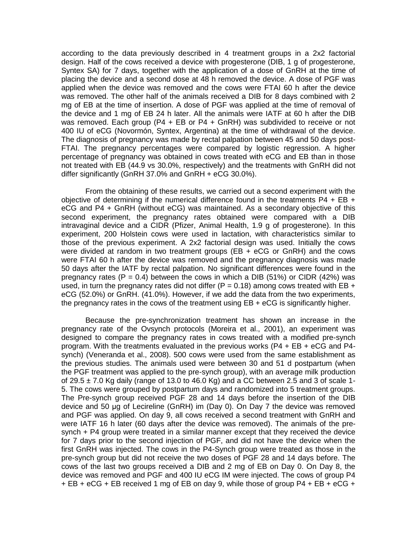according to the data previously described in 4 treatment groups in a 2x2 factorial design. Half of the cows received a device with progesterone (DIB, 1 g of progesterone, Syntex SA) for 7 days, together with the application of a dose of GnRH at the time of placing the device and a second dose at 48 h removed the device. A dose of PGF was applied when the device was removed and the cows were FTAI 60 h after the device was removed. The other half of the animals received a DIB for 8 days combined with 2 mg of EB at the time of insertion. A dose of PGF was applied at the time of removal of the device and 1 mg of EB 24 h later. All the animals were IATF at 60 h after the DIB was removed. Each group ( $P4 + EB$  or  $P4 + GnRH$ ) was subdivided to receive or not 400 IU of eCG (Novormón, Syntex, Argentina) at the time of withdrawal of the device. The diagnosis of pregnancy was made by rectal palpation between 45 and 50 days post-FTAI. The pregnancy percentages were compared by logistic regression. A higher percentage of pregnancy was obtained in cows treated with eCG and EB than in those not treated with EB (44.9 vs 30.0%, respectively) and the treatments with GnRH did not differ significantly (GnRH 37.0% and GnRH + eCG 30.0%).

From the obtaining of these results, we carried out a second experiment with the objective of determining if the numerical difference found in the treatments  $P4 + EB +$ eCG and P4 + GnRH (without eCG) was maintained. As a secondary objective of this second experiment, the pregnancy rates obtained were compared with a DIB intravaginal device and a CIDR (Pfizer, Animal Health, 1.9 g of progesterone). In this experiment, 200 Holstein cows were used in lactation, with characteristics similar to those of the previous experiment. A 2x2 factorial design was used. Initially the cows were divided at random in two treatment groups (EB + eCG or GnRH) and the cows were FTAI 60 h after the device was removed and the pregnancy diagnosis was made 50 days after the IATF by rectal palpation. No significant differences were found in the pregnancy rates (P = 0.4) between the cows in which a DIB (51%) or CIDR (42%) was used, in turn the pregnancy rates did not differ ( $P = 0.18$ ) among cows treated with EB + eCG (52.0%) or GnRH. (41.0%). However, if we add the data from the two experiments, the pregnancy rates in the cows of the treatment using EB + eCG is significantly higher.

Because the pre-synchronization treatment has shown an increase in the pregnancy rate of the Ovsynch protocols (Moreira et al., 2001), an experiment was designed to compare the pregnancy rates in cows treated with a modified pre-synch program. With the treatments evaluated in the previous works (P4 + EB + eCG and P4 synch) (Veneranda et al., 2008). 500 cows were used from the same establishment as the previous studies. The animals used were between 30 and 51 d postpartum (when the PGF treatment was applied to the pre-synch group), with an average milk production of 29.5  $\pm$  7.0 Kg daily (range of 13.0 to 46.0 Kg) and a CC between 2.5 and 3 of scale 1-5. The cows were grouped by postpartum days and randomized into 5 treatment groups. The Pre-synch group received PGF 28 and 14 days before the insertion of the DIB device and 50 μg of Lecireline (GnRH) im (Day 0). On Day 7 the device was removed and PGF was applied. On day 9, all cows received a second treatment with GnRH and were IATF 16 h later (60 days after the device was removed). The animals of the presynch + P4 group were treated in a similar manner except that they received the device for 7 days prior to the second injection of PGF, and did not have the device when the first GnRH was injected. The cows in the P4-Synch group were treated as those in the pre-synch group but did not receive the two doses of PGF 28 and 14 days before. The cows of the last two groups received a DIB and 2 mg of EB on Day 0. On Day 8, the device was removed and PGF and 400 IU eCG IM were injected. The cows of group P4 + EB + eCG + EB received 1 mg of EB on day 9, while those of group P4 + EB + eCG +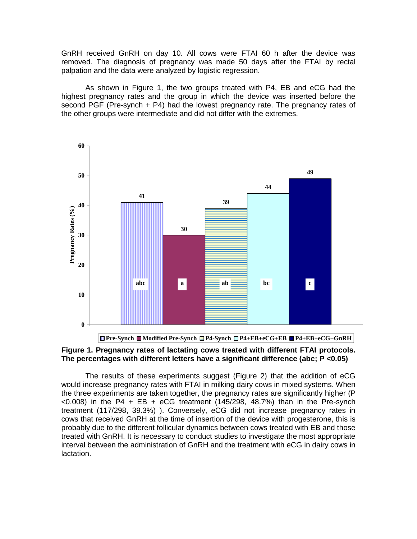GnRH received GnRH on day 10. All cows were FTAI 60 h after the device was removed. The diagnosis of pregnancy was made 50 days after the FTAI by rectal palpation and the data were analyzed by logistic regression.

As shown in Figure 1, the two groups treated with P4, EB and eCG had the highest pregnancy rates and the group in which the device was inserted before the second PGF (Pre-synch + P4) had the lowest pregnancy rate. The pregnancy rates of the other groups were intermediate and did not differ with the extremes.



# **Figure 1. Pregnancy rates of lactating cows treated with different FTAI protocols. The percentages with different letters have a significant difference (abc; P <0.05)**

The results of these experiments suggest (Figure 2) that the addition of eCG would increase pregnancy rates with FTAI in milking dairy cows in mixed systems. When the three experiments are taken together, the pregnancy rates are significantly higher (P  $<$ 0.008) in the P4 + EB + eCG treatment (145/298, 48.7%) than in the Pre-synch treatment (117/298, 39.3%) ). Conversely, eCG did not increase pregnancy rates in cows that received GnRH at the time of insertion of the device with progesterone, this is probably due to the different follicular dynamics between cows treated with EB and those treated with GnRH. It is necessary to conduct studies to investigate the most appropriate interval between the administration of GnRH and the treatment with eCG in dairy cows in lactation.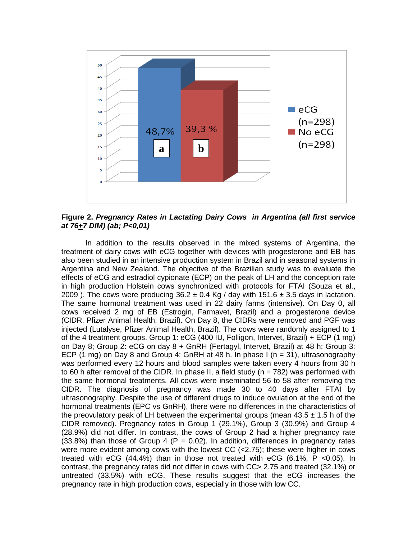

**Figure 2.** *Pregnancy Rates in Lactating Dairy Cows in Argentina (all first service at 76+7 DIM) (ab; P<0,01)*

In addition to the results observed in the mixed systems of Argentina, the treatment of dairy cows with eCG together with devices with progesterone and EB has also been studied in an intensive production system in Brazil and in seasonal systems in Argentina and New Zealand. The objective of the Brazilian study was to evaluate the effects of eCG and estradiol cypionate (ECP) on the peak of LH and the conception rate in high production Holstein cows synchronized with protocols for FTAI (Souza et al., 2009). The cows were producing  $36.2 \pm 0.4$  Kg / day with  $151.6 \pm 3.5$  days in lactation. The same hormonal treatment was used in 22 dairy farms (intensive). On Day 0, all cows received 2 mg of EB (Estrogin, Farmavet, Brazil) and a progesterone device (CIDR, Pfizer Animal Health, Brazil). On Day 8, the CIDRs were removed and PGF was injected (Lutalyse, Pfizer Animal Health, Brazil). The cows were randomly assigned to 1 of the 4 treatment groups. Group 1: eCG (400 IU, Folligon, Intervet, Brazil) + ECP (1 mg) on Day 8; Group 2: eCG on day 8 + GnRH (Fertagyl, Intervet, Brazil) at 48 h; Group 3: ECP (1 mg) on Day 8 and Group 4: GnRH at 48 h. In phase I (n = 31), ultrasonography was performed every 12 hours and blood samples were taken every 4 hours from 30 h to 60 h after removal of the CIDR. In phase II, a field study ( $n = 782$ ) was performed with the same hormonal treatments. All cows were inseminated 56 to 58 after removing the CIDR. The diagnosis of pregnancy was made 30 to 40 days after FTAI by ultrasonography. Despite the use of different drugs to induce ovulation at the end of the hormonal treatments (EPC vs GnRH), there were no differences in the characteristics of the preovulatory peak of LH between the experimental groups (mean  $43.5 \pm 1.5$  h of the CIDR removed). Pregnancy rates in Group 1 (29.1%), Group 3 (30.9%) and Group 4 (28.9%) did not differ. In contrast, the cows of Group 2 had a higher pregnancy rate  $(33.8%)$  than those of Group 4 (P = 0.02). In addition, differences in pregnancy rates were more evident among cows with the lowest CC (<2.75); these were higher in cows treated with eCG (44.4%) than in those not treated with eCG (6.1%, P <0.05). In contrast, the pregnancy rates did not differ in cows with CC> 2.75 and treated (32.1%) or untreated (33.5%) with eCG. These results suggest that the eCG increases the pregnancy rate in high production cows, especially in those with low CC.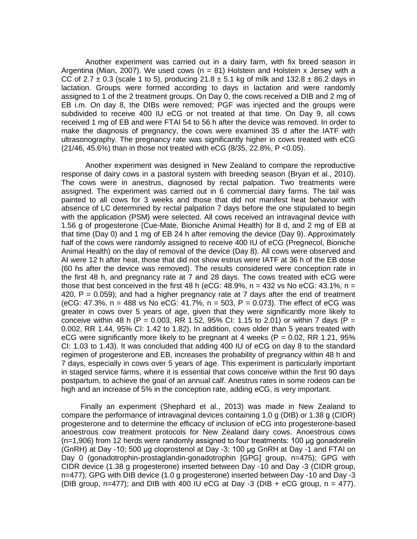Another experiment was carried out in a dairy farm, with fix breed season in Argentina (Mian, 2007). We used cows ( $n = 81$ ) Holstein and Holstein x Jersey with a CC of 2.7  $\pm$  0.3 (scale 1 to 5), producing 21.8  $\pm$  5.1 kg of milk and 132.8  $\pm$  86.2 days in lactation. Groups were formed according to days in lactation and were randomly assigned to 1 of the 2 treatment groups. On Day 0, the cows received a DIB and 2 mg of EB i.m. On day 8, the DIBs were removed; PGF was injected and the groups were subdivided to receive 400 IU eCG or not treated at that time. On Day 9, all cows received 1 mg of EB and were FTAI 54 to 56 h after the device was removed. In order to make the diagnosis of pregnancy, the cows were examined 35 d after the IATF with ultrasonography. The pregnancy rate was significantly higher in cows treated with eCG (21/46, 45.6%) than in those not treated with eCG (8/35, 22.8%, P <0.05).

Another experiment was designed in New Zealand to compare the reproductive response of dairy cows in a pastoral system with breeding season (Bryan et al., 2010). The cows were in anestrus, diagnosed by rectal palpation. Two treatments were assigned. The experiment was carried out in 6 commercial dairy farms. The tail was painted to all cows for 3 weeks and those that did not manifest heat behavior with absence of LC determined by rectal palpation 7 days before the one stipulated to begin with the application (PSM) were selected. All cows received an intravaginal device with 1.56 g of progesterone (Cue-Mate, Bioniche Animal Health) for 8 d, and 2 mg of EB at that time (Day 0) and 1 mg of EB 24 h after removing the device (Day 9). Approximately half of the cows were randomly assigned to receive 400 IU of eCG (Pregnecol, Bioniche Animal Health) on the day of removal of the device (Day 8). All cows were observed and AI were 12 h after heat, those that did not show estrus were IATF at 36 h of the EB dose (60 hs after the device was removed). The results considered were conception rate in the first 48 h, and pregnancy rate at 7 and 28 days. The cows treated with eCG were those that best conceived in the first 48 h (eCG:  $48.9\%$ , n = 432 vs No eCG:  $43.1\%$ , n = 420,  $P = 0.059$ ; and had a higher pregnancy rate at 7 days after the end of treatment (eCG: 47.3%,  $n = 488$  vs No eCG: 41.7%,  $n = 503$ ,  $P = 0.073$ ). The effect of eCG was greater in cows over 5 years of age, given that they were significantly more likely to conceive within 48 h (P = 0.003, RR 1.52, 95% CI: 1.15 to 2.01) or within 7 days (P = 0.002, RR 1.44, 95% CI: 1.42 to 1.82). In addition, cows older than 5 years treated with eCG were significantly more likely to be pregnant at 4 weeks ( $P = 0.02$ , RR 1.21, 95% CI: 1.03 to 1.43). It was concluded that adding 400 IU of eCG on day 8 to the standard regimen of progesterone and EB, increases the probability of pregnancy within 48 h and 7 days, especially in cows over 5 years of age. This experiment is particularly important in staged service farms, where it is essential that cows conceive within the first 90 days postpartum, to achieve the goal of an annual calf. Anestrus rates in some rodeos can be high and an increase of 5% in the conception rate, adding eCG, is very important.

Finally an experiment (Shephard et al., 2013) was made in New Zealand to compare the performance of intravaginal devices containing 1.0 g (DIB) or 1.38 g (CIDR) progesterone and to determine the efficacy of inclusion of eCG into progesterone-based anoestrous cow treatment protocols for New Zealand dairy cows. Anoestrous cows (n=1,906) from 12 herds were randomly assigned to four treatments: 100 μg gonadorelin (GnRH) at Day -10; 500 μg cloprostenol at Day -3; 100 μg GnRH at Day -1 and FTAI on Day 0 (gonadotrophin-prostaglandin-gonadotrophin [GPG] group, n=475); GPG with CIDR device (1.38 g progesterone) inserted between Day -10 and Day -3 (CIDR group, n=477); GPG with DIB device (1.0 g progesterone) inserted between Day -10 and Day -3 (DIB group,  $n=477$ ); and DIB with 400 IU eCG at Day -3 (DIB + eCG group,  $n = 477$ ).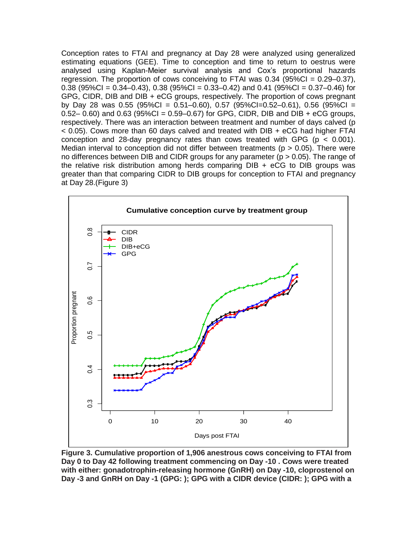Conception rates to FTAI and pregnancy at Day 28 were analyzed using generalized estimating equations (GEE). Time to conception and time to return to oestrus were analysed using Kaplan-Meier survival analysis and Cox's proportional hazards regression. The proportion of cows conceiving to FTAI was  $0.34$  (95%CI =  $0.29-0.37$ ), 0.38  $(95\%C) = 0.34 - 0.43$ , 0.38  $(95\%C) = 0.33 - 0.42$  and 0.41  $(95\%C) = 0.37 - 0.46$  for GPG, CIDR, DIB and DIB + eCG groups, respectively. The proportion of cows pregnant by Day 28 was 0.55 (95%CI = 0.51–0.60), 0.57 (95%CI=0.52–0.61), 0.56 (95%CI = 0.52– 0.60) and 0.63 (95%CI = 0.59–0.67) for GPG, CIDR, DIB and DIB + eCG groups, respectively. There was an interaction between treatment and number of days calved (p < 0.05). Cows more than 60 days calved and treated with DIB + eCG had higher FTAI conception and 28-day pregnancy rates than cows treated with GPG ( $p < 0.001$ ). Median interval to conception did not differ between treatments ( $p > 0.05$ ). There were no differences between DIB and CIDR groups for any parameter ( $p > 0.05$ ). The range of the relative risk distribution among herds comparing  $DIB + eCG$  to  $DIB$  groups was greater than that comparing CIDR to DIB groups for conception to FTAI and pregnancy at Day 28.(Figure 3)



**Figure 3. Cumulative proportion of 1,906 anestrous cows conceiving to FTAI from Day 0 to Day 42 following treatment commencing on Day -10 . Cows were treated with either: gonadotrophin-releasing hormone (GnRH) on Day -10, cloprostenol on Day -3 and GnRH on Day -1 (GPG: ); GPG with a CIDR device (CIDR: ); GPG with a**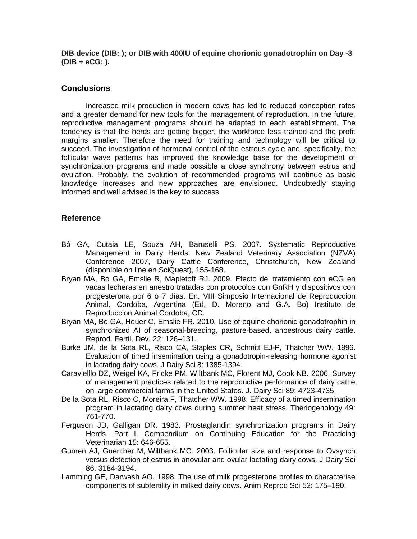**DIB device (DIB: ); or DIB with 400IU of equine chorionic gonadotrophin on Day -3 (DIB + eCG: ).**

## **Conclusions**

Increased milk production in modern cows has led to reduced conception rates and a greater demand for new tools for the management of reproduction. In the future, reproductive management programs should be adapted to each establishment. The tendency is that the herds are getting bigger, the workforce less trained and the profit margins smaller. Therefore the need for training and technology will be critical to succeed. The investigation of hormonal control of the estrous cycle and, specifically, the follicular wave patterns has improved the knowledge base for the development of synchronization programs and made possible a close synchrony between estrus and ovulation. Probably, the evolution of recommended programs will continue as basic knowledge increases and new approaches are envisioned. Undoubtedly staying informed and well advised is the key to success.

## **Reference**

- Bó GA, Cutaia LE, Souza AH, Baruselli PS. 2007. Systematic Reproductive Management in Dairy Herds. New Zealand Veterinary Association (NZVA) Conference 2007, Dairy Cattle Conference, Christchurch, New Zealand (disponible on line en SciQuest), 155-168.
- Bryan MA, Bo GA, Emslie R, Mapletoft RJ. 2009. Efecto del tratamiento con eCG en vacas lecheras en anestro tratadas con protocolos con GnRH y dispositivos con progesterona por 6 o 7 días. En: VIII Simposio Internacional de Reproduccion Animal, Cordoba, Argentina (Ed. D. Moreno and G.A. Bo) Instituto de Reproduccion Animal Cordoba, CD.
- Bryan MA, Bo GA, Heuer C, Emslie FR. 2010. Use of equine chorionic gonadotrophin in synchronized AI of seasonal-breeding, pasture-based, anoestrous dairy cattle. Reprod. Fertil. Dev. 22: 126–131.
- Burke JM, de la Sota RL, Risco CA, Staples CR, Schmitt EJ-P, Thatcher WW. 1996. Evaluation of timed insemination using a gonadotropin-releasing hormone agonist in lactating dairy cows. J Dairy Sci 8: 1385-1394.
- Caravielllo DZ, Weigel KA, Fricke PM, Wiltbank MC, Florent MJ, Cook NB. 2006. Survey of management practices related to the reproductive performance of dairy cattle on large commercial farms in the United States. J. Dairy Sci 89: 4723-4735.
- De la Sota RL, Risco C, Moreira F, Thatcher WW. 1998. Efficacy of a timed insemination program in lactating dairy cows during summer heat stress. Theriogenology 49: 761-770.
- Ferguson JD, Galligan DR. 1983. Prostaglandin synchronization programs in Dairy Herds. Part I, Compendium on Continuing Education for the Practicing Veterinarian 15: 646-655.
- Gumen AJ, Guenther M, Wiltbank MC. 2003. Follicular size and response to Ovsynch versus detection of estrus in anovular and ovular lactating dairy cows. J Dairy Sci 86: 3184-3194.
- Lamming GE, Darwash AO. 1998. The use of milk progesterone profiles to characterise components of subfertility in milked dairy cows. Anim Reprod Sci 52: 175–190.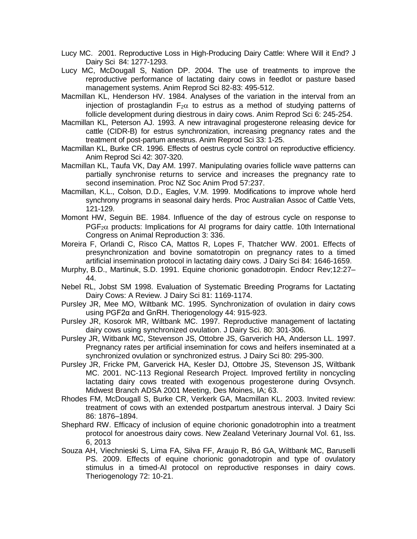- Lucy MC. 2001. Reproductive Loss in High-Producing Dairy Cattle: Where Will it End? J Dairy Sci 84: 1277-1293.
- Lucy MC, McDougall S, Nation DP. 2004. The use of treatments to improve the reproductive performance of lactating dairy cows in feedlot or pasture based management systems. Anim Reprod Sci 82-83: 495-512.
- Macmillan KL, Henderson HV. 1984. Analyses of the variation in the interval from an injection of prostaglandin  $F_2\alpha$  to estrus as a method of studying patterns of follicle development during diestrous in dairy cows. Anim Reprod Sci 6: 245-254.
- Macmillan KL, Peterson AJ. 1993. A new intravaginal progesterone releasing device for cattle (CIDR-B) for estrus synchronization, increasing pregnancy rates and the treatment of post-partum anestrus. Anim Reprod Sci 33: 1-25.
- Macmillan KL, Burke CR. 1996. Effects of oestrus cycle control on reproductive efficiency. Anim Reprod Sci 42: 307-320.
- Macmillan KL, Taufa VK, Day AM. 1997. Manipulating ovaries follicle wave patterns can partially synchronise returns to service and increases the pregnancy rate to second insemination. Proc NZ Soc Anim Prod 57:237.
- Macmillan, K.L., Colson, D.D., Eagles, V.M. 1999. Modifications to improve whole herd synchrony programs in seasonal dairy herds. Proc Australian Assoc of Cattle Vets, 121-129.
- Momont HW, Seguin BE. 1984. Influence of the day of estrous cycle on response to  $PGF<sub>2</sub>$  products: Implications for AI programs for dairy cattle. 10th International Congress on Animal Reproduction 3: 336.
- Moreira F, Orlandi C, Risco CA, Mattos R, Lopes F, Thatcher WW. 2001. Effects of presynchronization and bovine somatotropin on pregnancy rates to a timed artificial insemination protocol in lactating dairy cows. J Dairy Sci 84: 1646-1659.
- Murphy, B.D., Martinuk, S.D. 1991. Equine chorionic gonadotropin. Endocr Rev;12:27– 44.
- Nebel RL, Jobst SM 1998. Evaluation of Systematic Breeding Programs for Lactating Dairy Cows: A Review. J Dairy Sci 81: 1169-1174.
- Pursley JR, Mee MO, Wiltbank MC. 1995. Synchronization of ovulation in dairy cows using PGF2α and GnRH. Theriogenology 44: 915-923.
- Pursley JR, Kosorok MR, Wiltbank MC. 1997. Reproductive management of lactating dairy cows using synchronized ovulation. J Dairy Sci. 80: 301-306.
- Pursley JR, Witbank MC, Stevenson JS, Ottobre JS, Garverich HA, Anderson LL. 1997. Pregnancy rates per artificial insemination for cows and heifers inseminated at a synchronized ovulation or synchronized estrus. J Dairy Sci 80: 295-300.
- Pursley JR, Fricke PM, Garverick HA, Kesler DJ, Ottobre JS, Stevenson JS, Wiltbank MC. 2001. NC-113 Regional Research Project. Improved fertility in noncycling lactating dairy cows treated with exogenous progesterone during Ovsynch. Midwest Branch ADSA 2001 Meeting, Des Moines, IA; 63.
- Rhodes FM, McDougall S, Burke CR, Verkerk GA, Macmillan KL. 2003. Invited review: treatment of cows with an extended postpartum anestrous interval. J Dairy Sci 86: 1876–1894.
- Shephard RW. [Efficacy of inclusion of equine chorionic gonadotrophin into a treatment](http://www.tandfonline.com/doi/full/10.1080/00480169.2013.809633)  [protocol for anoestrous dairy cows.](http://www.tandfonline.com/doi/full/10.1080/00480169.2013.809633) [New Zealand Veterinary Journal](http://www.tandfonline.com/toc/tnzv20/61/6) Vol. 61, Iss. 6, 2013
- Souza AH, Viechnieski S, Lima FA, Silva FF, Araujo R, Bó GA, Wiltbank MC, Baruselli PS. 2009. Effects of equine chorionic gonadotropin and type of ovulatory stimulus in a timed-AI protocol on reproductive responses in dairy cows. Theriogenology 72: 10-21.